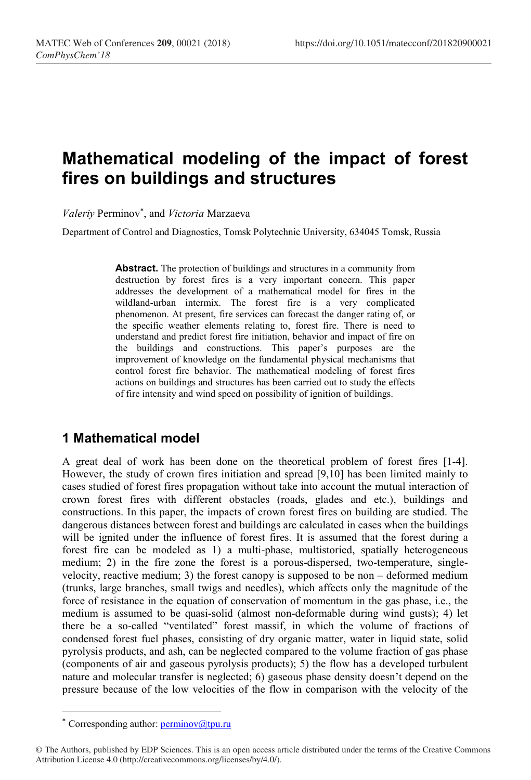## Mathematical modeling of the impact of forest fires on buildings and structures

Valeriy Perminov<sup>\*</sup>, and Victoria Marzaeva

Department of Control and Diagnostics, Tomsk Polytechnic University, 634045 Tomsk, Russia

Abstract. The protection of buildings and structures in a community from destruction by forest fires is a very important concern. This paper addresses the development of a mathematical model for fires in the wildland-urban intermix. The forest fire is a very complicated phenomenon. At present, fire services can forecast the danger rating of, or the specific weather elements relating to, forest fire. There is need to understand and predict forest fire initiation, behavior and impact of fire on the buildings and constructions. This paper's purposes are the improvement of knowledge on the fundamental physical mechanisms that control forest fire behavior. The mathematical modeling of forest fires actions on buildings and structures has been carried out to study the effects of fire intensity and wind speed on possibility of ignition of buildings.

## 1 Mathematical model

A great deal of work has been done on the theoretical problem of forest fires [1-4]. However, the study of crown fires initiation and spread [9,10] has been limited mainly to cases studied of forest fires propagation without take into account the mutual interaction of crown forest fires with different obstacles (roads, glades and etc.), buildings and constructions. In this paper, the impacts of crown forest fires on building are studied. The dangerous distances between forest and buildings are calculated in cases when the buildings will be ignited under the influence of forest fires. It is assumed that the forest during a forest fire can be modeled as 1) a multi-phase, multistoried, spatially heterogeneous medium; 2) in the fire zone the forest is a porous-dispersed, two-temperature, singlevelocity, reactive medium; 3) the forest canopy is supposed to be non  $-$  deformed medium (trunks, large branches, small twigs and needles), which affects only the magnitude of the force of resistance in the equation of conservation of momentum in the gas phase, i.e., the medium is assumed to be quasi-solid (almost non-deformable during wind gusts); 4) let there be a so-called "ventilated" forest massif, in which the volume of fractions of condensed forest fuel phases, consisting of dry organic matter, water in liquid state, solid pyrolysis products, and ash, can be neglected compared to the volume fraction of gas phase (components of air and gaseous pyrolysis products); 5) the flow has a developed turbulent nature and molecular transfer is neglected; 6) gaseous phase density doesn't depend on the pressure because of the low velocities of the flow in comparison with the velocity of the

-

<sup>\*</sup> Corresponding author:  $\frac{\text{permino}}{\text{permiso}}$ 

<sup>©</sup> The Authors, published by EDP Sciences. This is an open access article distributed under the terms of the Creative Commons Attribution License 4.0 (http://creativecommons.org/licenses/by/4.0/).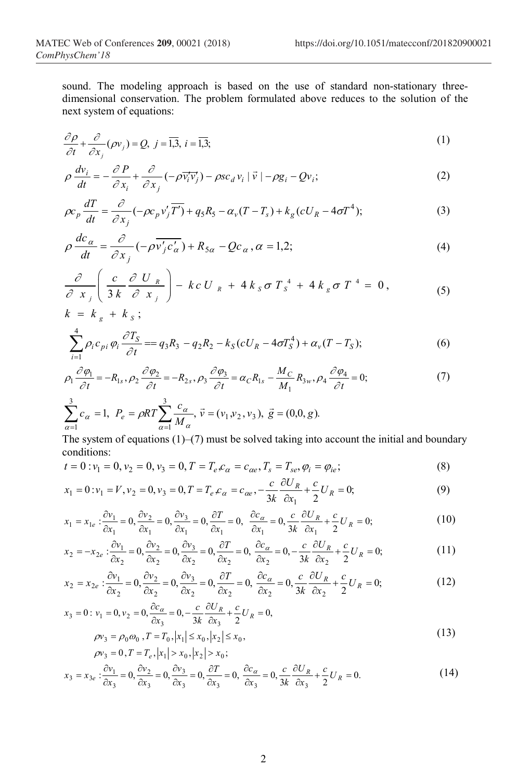sound. The modeling approach is based on the use of standard non-stationary threedimensional conservation. The problem formulated above reduces to the solution of the next system of equations:

$$
\frac{\partial \rho}{\partial t} + \frac{\partial}{\partial x_j} (\rho v_j) = Q, \ j = \overline{1,3}, \ i = \overline{1,3};
$$
 (1)

$$
\rho \frac{dv_i}{dt} = -\frac{\partial P}{\partial x_i} + \frac{\partial}{\partial x_j} (-\rho \overline{v_i' v_j'}) - \rho s c_d v_i \left| \overline{v} \right| - \rho g_i - Q v_i; \tag{2}
$$

$$
\rho c_p \frac{dT}{dt} = \frac{\partial}{\partial x_j} (-\rho c_p v'_j \overline{T'}) + q_s R_s - \alpha_v (T - T_s) + k_g (c U_R - 4\sigma T^4); \tag{3}
$$

$$
\rho \frac{dc_{\alpha}}{dt} = \frac{\partial}{\partial x_j} \left( -\rho \overline{v'_j c'_\alpha} \right) + R_{5\alpha} - Qc_{\alpha}, \alpha = 1, 2; \tag{4}
$$

$$
\frac{\partial}{\partial x_j} \left( \frac{c}{3k} \frac{\partial U_R}{\partial x_j} \right) - k c U_R + 4 k_S \sigma T_s^4 + 4 k_g \sigma T^4 = 0, \qquad (5)
$$

$$
k = k_g + k_S; \sum_{i=1}^{4} \rho_i c_{pi} \varphi_i \frac{\partial T_S}{\partial t} = q_3 R_3 - q_2 R_2 - k_S (c U_R - 4 \sigma T_S^4) + \alpha_v (T - T_S);
$$
\n(6)

$$
\sum_{i=1}^{\infty} \rho_i c_{pi} \varphi_i \frac{\partial z_S}{\partial t} = q_3 R_3 - q_2 R_2 - k_S (c U_R - 4 \sigma T_s^4) + \alpha_v (T - T_s); \tag{6}
$$

$$
\rho_1 \frac{\partial \rho_1}{\partial t} = -R_{1s}, \rho_2 \frac{\partial \rho_2}{\partial t} = -R_{2s}, \rho_3 \frac{\partial \rho_3}{\partial t} = \alpha_C R_{1s} - \frac{M_C}{M_1} R_{3w}, \rho_4 \frac{\partial \rho_4}{\partial t} = 0; \tag{7}
$$

$$
\sum_{\alpha=1}^{3} c_{\alpha} = 1, \ P_{e} = \rho RT \sum_{\alpha=1}^{3} \frac{c_{\alpha}}{M_{\alpha}}, \ \vec{v} = (v_{1}, v_{2}, v_{3}), \ \vec{g} = (0, 0, g).
$$

The system of equations  $(1)$ – $(7)$  must be solved taking into account the initial and boundary conditions:

$$
t = 0: v_1 = 0, v_2 = 0, v_3 = 0, T = T_e \mathcal{L}_\alpha = c_{\alpha e}, T_s = T_{se}, \varphi_i = \varphi_{ie};
$$
\n(8)

$$
x_1 = 0: v_1 = V, v_2 = 0, v_3 = 0, T = T_e \mathcal{L}_\alpha = c_{\alpha e}, -\frac{c}{3k} \frac{\partial U_R}{\partial x_1} + \frac{c}{2} U_R = 0; \tag{9}
$$

$$
x_1 = x_{1e} : \frac{\partial v_1}{\partial x_1} = 0, \frac{\partial v_2}{\partial x_1} = 0, \frac{\partial v_3}{\partial x_1} = 0, \frac{\partial T}{\partial x_1} = 0, \frac{\partial c_\alpha}{\partial x_1} = 0, \frac{c}{3k} \frac{\partial U_R}{\partial x_1} + \frac{c}{2} U_R = 0; \tag{10}
$$

$$
x_2 = -x_{2e} : \frac{\partial v_1}{\partial x_2} = 0, \frac{\partial v_2}{\partial x_2} = 0, \frac{\partial v_3}{\partial x_2} = 0, \frac{\partial T}{\partial x_2} = 0, \frac{\partial c_\alpha}{\partial x_2} = 0, -\frac{c}{3k} \frac{\partial U_R}{\partial x_2} + \frac{c}{2} U_R = 0; \tag{11}
$$

$$
x_2 = x_{2e} : \frac{\partial v_1}{\partial x_2} = 0, \frac{\partial v_2}{\partial x_2} = 0, \frac{\partial v_3}{\partial x_2} = 0, \frac{\partial T}{\partial x_2} = 0, \frac{\partial c_\alpha}{\partial x_2} = 0, \frac{c}{3k} \frac{\partial U_R}{\partial x_2} + \frac{c}{2} U_R = 0;
$$
(12)

$$
x_3 = 0: v_1 = 0, v_2 = 0, \frac{\partial c_\alpha}{\partial x_3} = 0, -\frac{c}{3k} \frac{\partial U_R}{\partial x_3} + \frac{c}{2} U_R = 0,
$$
  
\n
$$
\rho v_3 = \rho_0 \omega_0, T = T_0, |x_1| \le x_0, |x_2| \le x_0,
$$
\n(13)

$$
\rho v_3 = \rho_0 \omega_0, I = I_0, |x_1| \le x_0, |x_2| \le x_0,
$$
  
\n
$$
\rho v_3 = 0, T = T_e, |x_1| > x_0, |x_2| > x_0;
$$
 (12)

$$
x_3 = x_{3e} : \frac{\partial v_1}{\partial x_3} = 0, \frac{\partial v_2}{\partial x_3} = 0, \frac{\partial v_3}{\partial x_3} = 0, \frac{\partial T}{\partial x_3} = 0, \frac{\partial c_\alpha}{\partial x_3} = 0, \frac{c}{3k} \frac{\partial U_R}{\partial x_3} + \frac{c}{2} U_R = 0.
$$
 (14)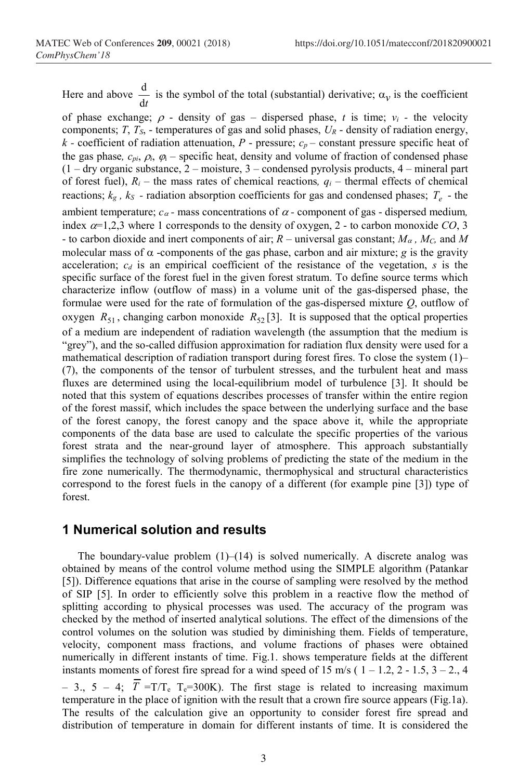Here and above dt  $\frac{d}{dt}$  is the symbol of the total (substantial) derivative;  $\alpha_{\nu}$  is the coefficient

of phase exchange;  $\rho$  - density of gas – dispersed phase, t is time;  $v_i$  - the velocity components;  $T$ ,  $T<sub>S</sub>$ , - temperatures of gas and solid phases,  $U<sub>R</sub>$  - density of radiation energy, k - coefficient of radiation attenuation,  $P$  - pressure;  $c_p$  – constant pressure specific heat of the gas phase,  $c_{pi}$ ,  $\dot{\rho}_i$ ,  $\dot{\rho}_i$  – specific heat, density and volume of fraction of condensed phase  $(1 - \text{dry organic substance}, 2 - \text{moisture}, 3 - \text{condensed pyrolysis products}, 4 - \text{mineral part})$ of forest fuel),  $R_i$  – the mass rates of chemical reactions,  $q_i$  – thermal effects of chemical reactions;  $k_g$ ,  $k_S$  - radiation absorption coefficients for gas and condensed phases;  $T_e$  - the ambient temperature;  $c_{\alpha}$  - mass concentrations of  $\alpha$  - component of gas - dispersed medium, index  $\alpha=1,2,3$  where 1 corresponds to the density of oxygen, 2 - to carbon monoxide CO, 3 - to carbon dioxide and inert components of air;  $R$  – universal gas constant;  $M_{\alpha}$ ,  $M_C$ , and M molecular mass of  $\alpha$  -components of the gas phase, carbon and air mixture; g is the gravity acceleration;  $c_d$  is an empirical coefficient of the resistance of the vegetation, s is the specific surface of the forest fuel in the given forest stratum. To define source terms which characterize inflow (outflow of mass) in a volume unit of the gas-dispersed phase, the formulae were used for the rate of formulation of the gas-dispersed mixture Q, outflow of oxygen  $R_{51}$ , changing carbon monoxide  $R_{52}$  [3]. It is supposed that the optical properties of a medium are independent of radiation wavelength (the assumption that the medium is "grey"), and the so-called diffusion approximation for radiation flux density were used for a mathematical description of radiation transport during forest fires. To close the system (1)– (7), the components of the tensor of turbulent stresses, and the turbulent heat and mass fluxes are determined using the local-equilibrium model of turbulence [3]. It should be noted that this system of equations describes processes of transfer within the entire region of the forest massif, which includes the space between the underlying surface and the base of the forest canopy, the forest canopy and the space above it, while the appropriate components of the data base are used to calculate the specific properties of the various forest strata and the near-ground layer of atmosphere. This approach substantially simplifies the technology of solving problems of predicting the state of the medium in the fire zone numerically. The thermodynamic, thermophysical and structural characteristics correspond to the forest fuels in the canopy of a different (for example pine [3]) type of forest.

## 1 Numerical solution and results

The boundary-value problem  $(1)$ – $(14)$  is solved numerically. A discrete analog was obtained by means of the control volume method using the SIMPLE algorithm (Patankar [5]). Difference equations that arise in the course of sampling were resolved by the method of SIP [5]. In order to efficiently solve this problem in a reactive flow the method of splitting according to physical processes was used. The accuracy of the program was checked by the method of inserted analytical solutions. The effect of the dimensions of the control volumes on the solution was studied by diminishing them. Fields of temperature, velocity, component mass fractions, and volume fractions of phases were obtained numerically in different instants of time. Fig.1. shows temperature fields at the different instants moments of forest fire spread for a wind speed of 15 m/s ( $1 - 1.2$ ,  $2 - 1.5$ ,  $3 - 2$ ., 4 – 3., 5 – 4;  $\overline{T}$  =T/T<sub>e</sub> T<sub>e</sub>=300K). The first stage is related to increasing maximum temperature in the place of ignition with the result that a crown fire source appears (Fig.1a). The results of the calculation give an opportunity to consider forest fire spread and distribution of temperature in domain for different instants of time. It is considered the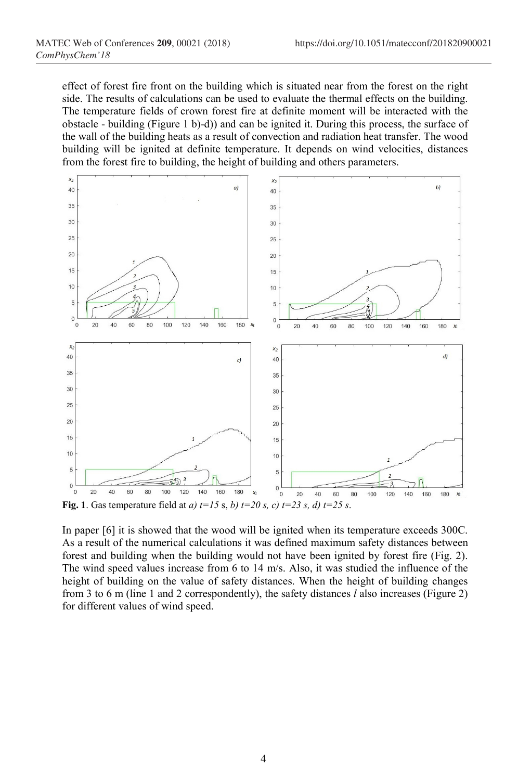effect of forest fire front on the building which is situated near from the forest on the right side. The results of calculations can be used to evaluate the thermal effects on the building. The temperature fields of crown forest fire at definite moment will be interacted with the obstacle - building (Figure 1 b)-d)) and can be ignited it. During this process, the surface of the wall of the building heats as a result of convection and radiation heat transfer. The wood building will be ignited at definite temperature. It depends on wind velocities, distances from the forest fire to building, the height of building and others parameters.



Fig. 1. Gas temperature field at a)  $t=15$  s, b)  $t=20$  s, c)  $t=23$  s, d)  $t=25$  s.

In paper [6] it is showed that the wood will be ignited when its temperature exceeds 300C. As a result of the numerical calculations it was defined maximum safety distances between forest and building when the building would not have been ignited by forest fire (Fig. 2). The wind speed values increase from 6 to 14 m/s. Also, it was studied the influence of the height of building on the value of safety distances. When the height of building changes from 3 to 6 m (line 1 and 2 correspondently), the safety distances  $l$  also increases (Figure 2) for different values of wind speed.